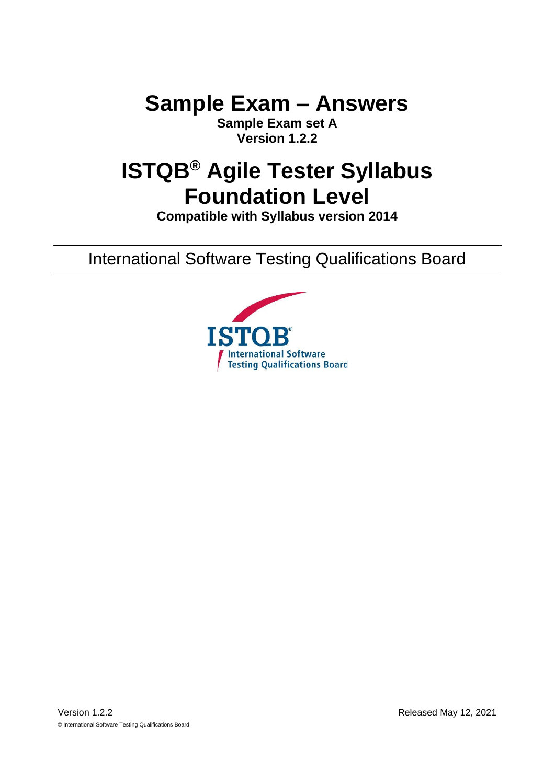**Sample Exam – Answers**

**Sample Exam set A Version 1.2.2**

# **ISTQB® Agile Tester Syllabus Foundation Level**

**Compatible with Syllabus version 2014**

International Software Testing Qualifications Board

<span id="page-0-1"></span><span id="page-0-0"></span>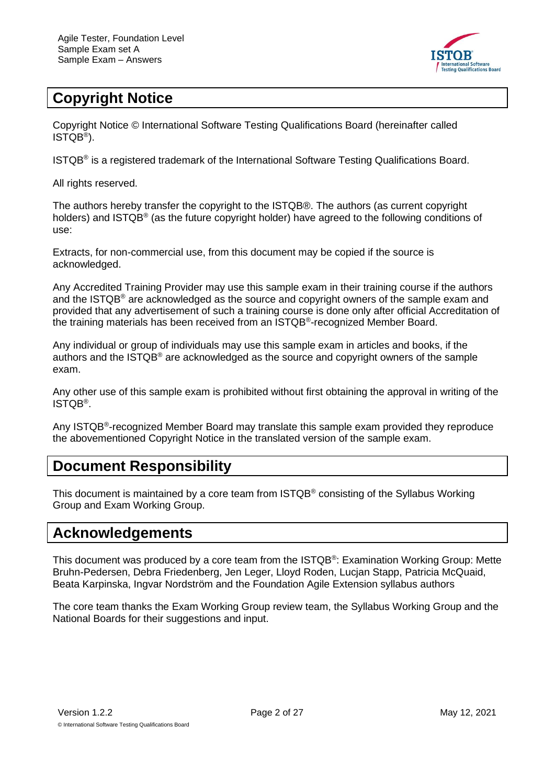

# <span id="page-1-0"></span>**Copyright Notice**

Copyright Notice © International Software Testing Qualifications Board (hereinafter called ISTQB® ).

ISTQB® is a registered trademark of the International Software Testing Qualifications Board.

All rights reserved.

The authors hereby transfer the copyright to the ISTQB®. The authors (as current copyright holders) and ISTQB® (as the future copyright holder) have agreed to the following conditions of use:

Extracts, for non-commercial use, from this document may be copied if the source is acknowledged.

Any Accredited Training Provider may use this sample exam in their training course if the authors and the ISTQB® are acknowledged as the source and copyright owners of the sample exam and provided that any advertisement of such a training course is done only after official Accreditation of the training materials has been received from an ISTQB®-recognized Member Board.

Any individual or group of individuals may use this sample exam in articles and books, if the authors and the ISTQB® are acknowledged as the source and copyright owners of the sample exam.

Any other use of this sample exam is prohibited without first obtaining the approval in writing of the ISTQB® .

Any ISTQB<sup>®</sup>-recognized Member Board may translate this sample exam provided they reproduce the abovementioned Copyright Notice in the translated version of the sample exam.

### <span id="page-1-1"></span>**Document Responsibility**

This document is maintained by a core team from ISTQB® consisting of the Syllabus Working Group and Exam Working Group.

### <span id="page-1-2"></span>**Acknowledgements**

This document was produced by a core team from the ISTQB®: Examination Working Group: Mette Bruhn-Pedersen, Debra Friedenberg, Jen Leger, Lloyd Roden, Lucjan Stapp, Patricia McQuaid, Beata Karpinska, Ingvar Nordström and the Foundation Agile Extension syllabus authors

The core team thanks the Exam Working Group review team, the Syllabus Working Group and the National Boards for their suggestions and input.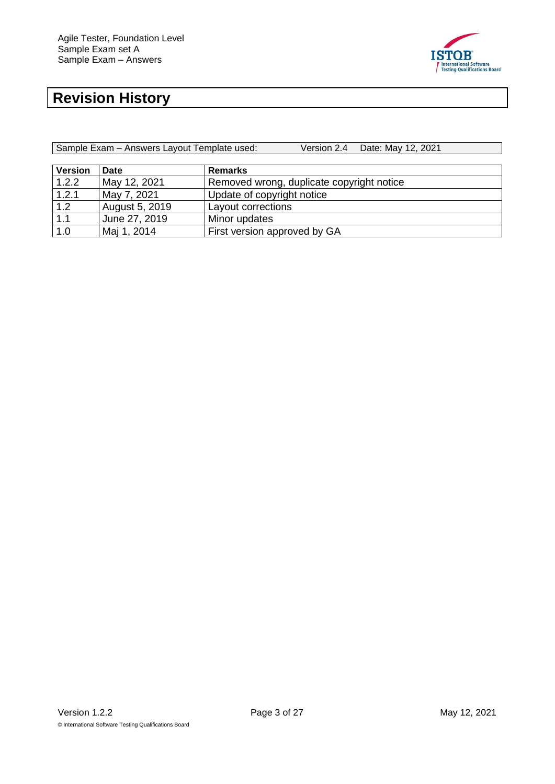

# <span id="page-2-0"></span>**Revision History**

| Sample Exam - Answers Layout Template used: | Version 2.4 Date: May 12, 2021 |
|---------------------------------------------|--------------------------------|
|                                             |                                |

| <b>Version</b> | Date           | <b>Remarks</b>                            |
|----------------|----------------|-------------------------------------------|
| 1.2.2          | May 12, 2021   | Removed wrong, duplicate copyright notice |
| 1.2.1          | May 7, 2021    | Update of copyright notice                |
| 1.2            | August 5, 2019 | Layout corrections                        |
| 1.1            | June 27, 2019  | Minor updates                             |
| 1.0            | Maj 1, 2014    | First version approved by GA              |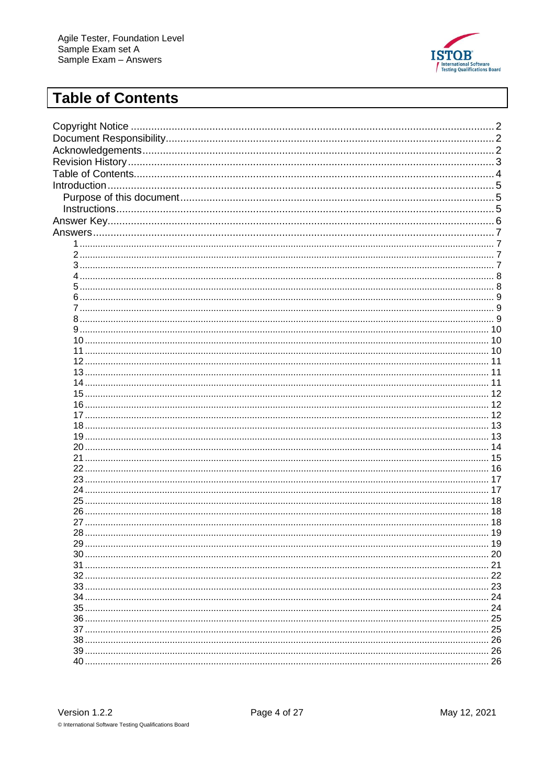

# <span id="page-3-0"></span>**Table of Contents**

| 12 |
|----|
|    |
|    |
|    |
|    |
|    |
|    |
|    |
|    |
|    |
| 19 |
|    |
|    |
|    |
|    |
|    |
|    |
|    |
|    |
|    |
|    |
|    |
|    |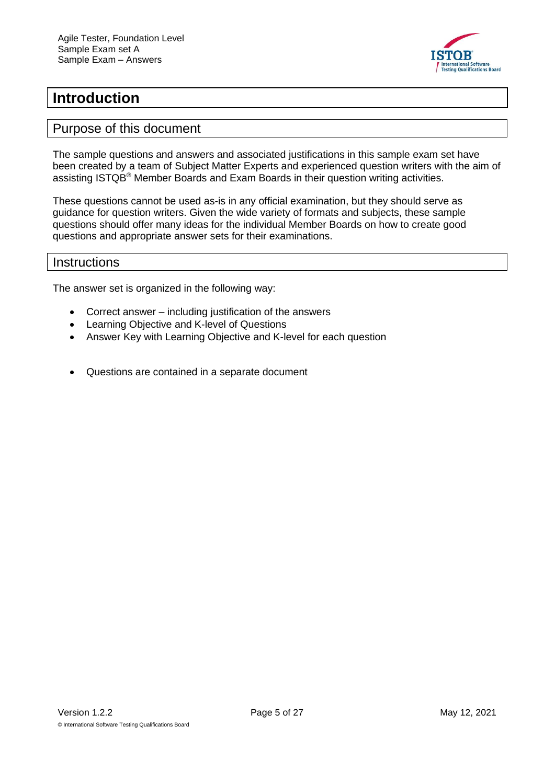

### <span id="page-4-0"></span>**Introduction**

#### <span id="page-4-1"></span>Purpose of this document

The sample questions and answers and associated justifications in this sample exam set have been created by a team of Subject Matter Experts and experienced question writers with the aim of assisting ISTQB® Member Boards and Exam Boards in their question writing activities.

These questions cannot be used as-is in any official examination, but they should serve as guidance for question writers. Given the wide variety of formats and subjects, these sample questions should offer many ideas for the individual Member Boards on how to create good questions and appropriate answer sets for their examinations.

#### <span id="page-4-2"></span>**Instructions**

The answer set is organized in the following way:

- Correct answer including justification of the answers
- Learning Objective and K-level of Questions
- Answer Key with Learning Objective and K-level for each question
- Questions are contained in a separate document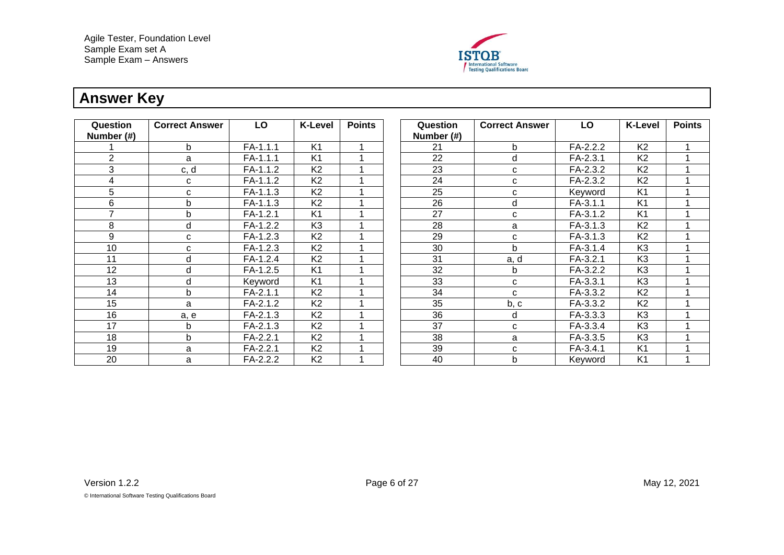

# **Answer Key**

<span id="page-5-0"></span>

| Question<br>Number (#) | <b>Correct Answer</b> | LO         | <b>K-Level</b> | <b>Points</b> | Question<br>Number (#) | <b>Correct Answer</b> | LO         | <b>K-Level</b> | <b>Points</b> |
|------------------------|-----------------------|------------|----------------|---------------|------------------------|-----------------------|------------|----------------|---------------|
|                        | b.                    | FA-1.1.1   | K <sub>1</sub> |               | 21                     | b                     | FA-2.2.2   | K <sub>2</sub> |               |
| 2                      | a                     | FA-1.1.1   | K <sub>1</sub> |               | 22                     | d                     | FA-2.3.1   | K <sub>2</sub> |               |
| 3                      | c, d                  | FA-1.1.2   | K <sub>2</sub> |               | 23                     | C                     | FA-2.3.2   | K <sub>2</sub> |               |
| 4                      | C                     | FA-1.1.2   | K <sub>2</sub> |               | 24                     | C                     | FA-2.3.2   | K <sub>2</sub> |               |
| 5                      | C                     | FA-1.1.3   | K <sub>2</sub> |               | 25                     | C                     | Keyword    | K <sub>1</sub> |               |
| 6                      | b                     | FA-1.1.3   | K <sub>2</sub> |               | 26                     | d                     | FA-3.1.1   | K <sub>1</sub> |               |
| $\overline{ }$         | b                     | FA-1.2.1   | K <sub>1</sub> |               | 27                     | C                     | FA-3.1.2   | K <sub>1</sub> |               |
| 8                      | d                     | FA-1.2.2   | K <sub>3</sub> |               | 28                     | a                     | FA-3.1.3   | K <sub>2</sub> |               |
| 9                      | C                     | FA-1.2.3   | K <sub>2</sub> |               | 29                     | C                     | FA-3.1.3   | K <sub>2</sub> |               |
| 10                     | C                     | FA-1.2.3   | K <sub>2</sub> |               | 30                     | b                     | FA-3.1.4   | K <sub>3</sub> |               |
| 11                     | d                     | FA-1.2.4   | K <sub>2</sub> |               | 31                     | a, d                  | $FA-3.2.1$ | K <sub>3</sub> |               |
| 12                     | d                     | FA-1.2.5   | K <sub>1</sub> |               | 32                     | b                     | FA-3.2.2   | K <sub>3</sub> |               |
| 13                     | d                     | Keyword    | K <sub>1</sub> |               | 33                     | C                     | FA-3.3.1   | K <sub>3</sub> |               |
| 14                     | b.                    | FA-2.1.1   | K <sub>2</sub> |               | 34                     | $\mathbf{C}$          | FA-3.3.2   | K <sub>2</sub> |               |
| 15                     | a                     | FA-2.1.2   | K <sub>2</sub> |               | 35                     | b, c                  | FA-3.3.2   | K <sub>2</sub> |               |
| 16                     | a, e                  | FA-2.1.3   | K <sub>2</sub> |               | 36                     | d                     | FA-3.3.3   | K <sub>3</sub> |               |
| 17                     | b                     | FA-2.1.3   | K <sub>2</sub> |               | 37                     | C                     | FA-3.3.4   | K <sub>3</sub> |               |
| 18                     | b.                    | $FA-2.2.1$ | K <sub>2</sub> |               | 38                     | a                     | FA-3.3.5   | K <sub>3</sub> |               |
| 19                     | a                     | FA-2.2.1   | K <sub>2</sub> |               | 39                     | C                     | FA-3.4.1   | K <sub>1</sub> |               |
| 20                     | a                     | FA-2.2.2   | K <sub>2</sub> |               | 40                     | b                     | Keyword    | K <sub>1</sub> |               |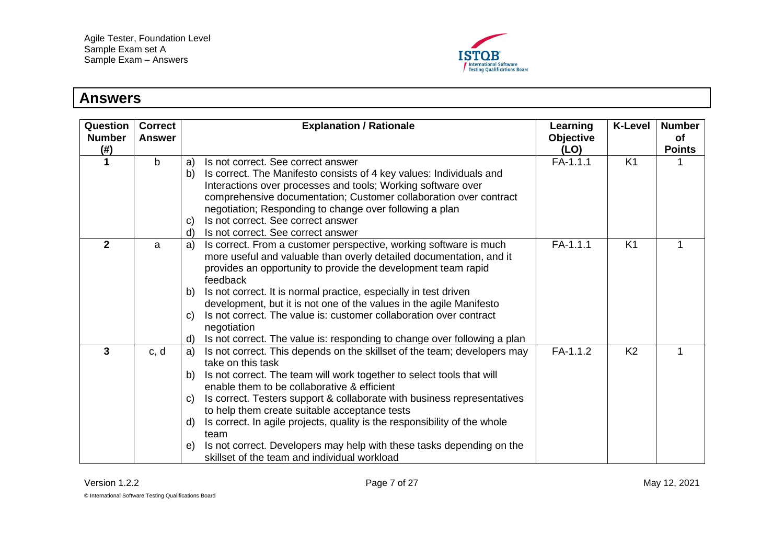

#### <span id="page-6-3"></span><span id="page-6-2"></span><span id="page-6-1"></span><span id="page-6-0"></span>**Answers Question Number (#) Correct Answer Explanation / Rationale Learning Objective (LO) K-Level Number of Points 1** b a) Is not correct. See correct answer b) Is correct. The Manifesto consists of 4 key values: Individuals and Interactions over processes and tools; Working software over comprehensive documentation; Customer collaboration over contract negotiation; Responding to change over following a plan c) Is not correct. See correct answer d) Is not correct. See correct answer  $FA-1.1.1$  K1 1 **2** a a a) Is correct. From a customer perspective, working software is much more useful and valuable than overly detailed documentation, and it provides an opportunity to provide the development team rapid feedback b) Is not correct. It is normal practice, especially in test driven development, but it is not one of the values in the agile Manifesto c) Is not correct. The value is: customer collaboration over contract negotiation d) Is not correct. The value is: responding to change over following a plan  $FA-1.1.1$  K1 **3 b** c, d **a**) Is not correct. This depends on the skillset of the team; developers may take on this task b) Is not correct. The team will work together to select tools that will enable them to be collaborative & efficient c) Is correct. Testers support & collaborate with business representatives to help them create suitable acceptance tests d) Is correct. In agile projects, quality is the responsibility of the whole team e) Is not correct. Developers may help with these tasks depending on the skillset of the team and individual workload  $FA-1.1.2$  K2  $1 \quad 1$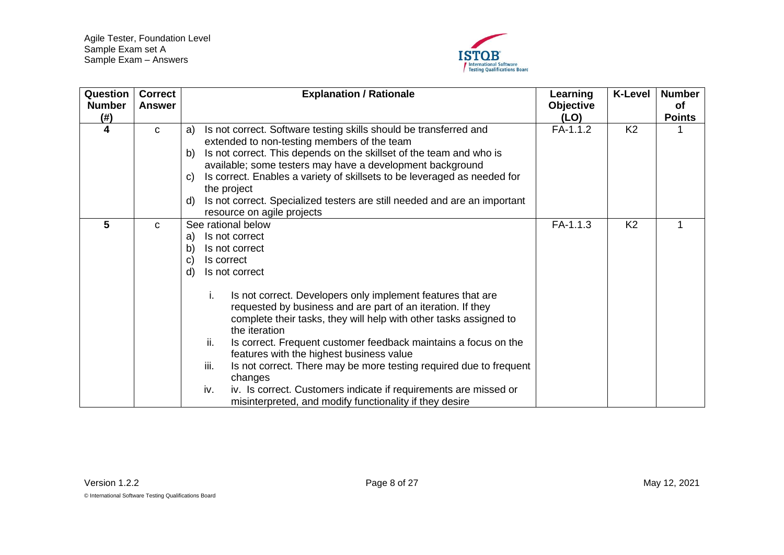

<span id="page-7-1"></span><span id="page-7-0"></span>

| Question<br><b>Number</b><br>$(\#)$ | <b>Correct</b><br><b>Answer</b> | <b>Explanation / Rationale</b>                                                                                                                                                                                                                                                                                                                                                                                                                                                                                                                                                                                                                                                                | Learning<br><b>Objective</b><br>(LO) | <b>K-Level</b> | <b>Number</b><br><b>of</b><br><b>Points</b> |
|-------------------------------------|---------------------------------|-----------------------------------------------------------------------------------------------------------------------------------------------------------------------------------------------------------------------------------------------------------------------------------------------------------------------------------------------------------------------------------------------------------------------------------------------------------------------------------------------------------------------------------------------------------------------------------------------------------------------------------------------------------------------------------------------|--------------------------------------|----------------|---------------------------------------------|
| 4                                   | C                               | Is not correct. Software testing skills should be transferred and<br>a)<br>extended to non-testing members of the team<br>Is not correct. This depends on the skillset of the team and who is<br>b)<br>available; some testers may have a development background<br>Is correct. Enables a variety of skillsets to be leveraged as needed for<br>C)<br>the project<br>Is not correct. Specialized testers are still needed and are an important<br>d)<br>resource on agile projects                                                                                                                                                                                                            | FA-1.1.2                             | K <sub>2</sub> |                                             |
| 5                                   | C                               | See rational below<br>Is not correct<br>a)<br>b)<br>Is not correct<br>Is correct<br>C)<br>d)<br>Is not correct<br>Is not correct. Developers only implement features that are<br>i.<br>requested by business and are part of an iteration. If they<br>complete their tasks, they will help with other tasks assigned to<br>the iteration<br>ii.<br>Is correct. Frequent customer feedback maintains a focus on the<br>features with the highest business value<br>iii.<br>Is not correct. There may be more testing required due to frequent<br>changes<br>iv.<br>iv. Is correct. Customers indicate if requirements are missed or<br>misinterpreted, and modify functionality if they desire | $FA-1.1.3$                           | K <sub>2</sub> |                                             |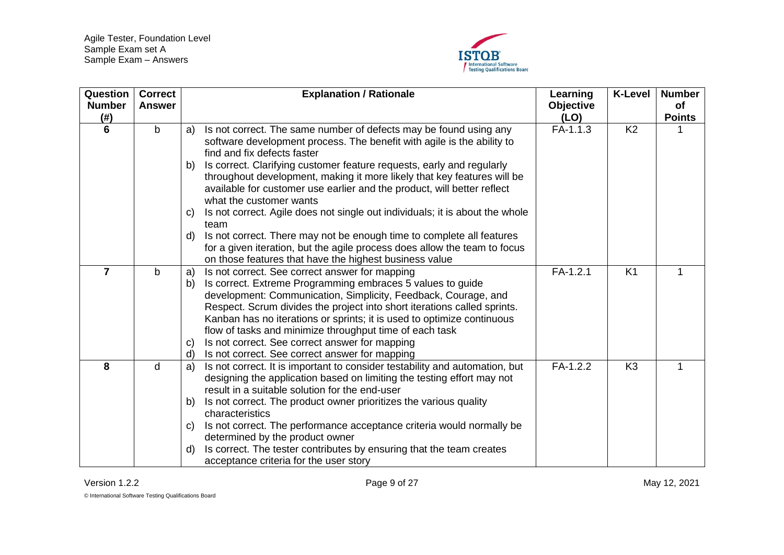

<span id="page-8-2"></span><span id="page-8-1"></span><span id="page-8-0"></span>

| Question<br><b>Number</b><br>(# ) | <b>Correct</b><br><b>Answer</b> | <b>Explanation / Rationale</b>                                                                                                                                                                                                                                                                                                                                                                                                                                                                                                                        | Learning<br><b>Objective</b><br>(LO) | <b>K-Level</b> | <b>Number</b><br>of<br><b>Points</b> |
|-----------------------------------|---------------------------------|-------------------------------------------------------------------------------------------------------------------------------------------------------------------------------------------------------------------------------------------------------------------------------------------------------------------------------------------------------------------------------------------------------------------------------------------------------------------------------------------------------------------------------------------------------|--------------------------------------|----------------|--------------------------------------|
| 6                                 | b                               | Is not correct. The same number of defects may be found using any<br>a)<br>software development process. The benefit with agile is the ability to<br>find and fix defects faster                                                                                                                                                                                                                                                                                                                                                                      | FA-1.1.3                             | K <sub>2</sub> |                                      |
|                                   |                                 | Is correct. Clarifying customer feature requests, early and regularly<br>b)<br>throughout development, making it more likely that key features will be<br>available for customer use earlier and the product, will better reflect<br>what the customer wants                                                                                                                                                                                                                                                                                          |                                      |                |                                      |
|                                   |                                 | Is not correct. Agile does not single out individuals; it is about the whole<br>C)<br>team                                                                                                                                                                                                                                                                                                                                                                                                                                                            |                                      |                |                                      |
|                                   |                                 | Is not correct. There may not be enough time to complete all features<br>d)<br>for a given iteration, but the agile process does allow the team to focus<br>on those features that have the highest business value                                                                                                                                                                                                                                                                                                                                    |                                      |                |                                      |
| $\overline{7}$                    | b                               | Is not correct. See correct answer for mapping<br>a)<br>Is correct. Extreme Programming embraces 5 values to guide<br>b)<br>development: Communication, Simplicity, Feedback, Courage, and<br>Respect. Scrum divides the project into short iterations called sprints.<br>Kanban has no iterations or sprints; it is used to optimize continuous<br>flow of tasks and minimize throughput time of each task<br>Is not correct. See correct answer for mapping<br>$\mathbf{C}$<br>Is not correct. See correct answer for mapping<br>d)                 | $FA-1.2.1$                           | K <sub>1</sub> | 1                                    |
| 8                                 | d                               | Is not correct. It is important to consider testability and automation, but<br>a)<br>designing the application based on limiting the testing effort may not<br>result in a suitable solution for the end-user<br>Is not correct. The product owner prioritizes the various quality<br>b)<br>characteristics<br>Is not correct. The performance acceptance criteria would normally be<br>C)<br>determined by the product owner<br>Is correct. The tester contributes by ensuring that the team creates<br>d)<br>acceptance criteria for the user story | FA-1.2.2                             | K <sub>3</sub> |                                      |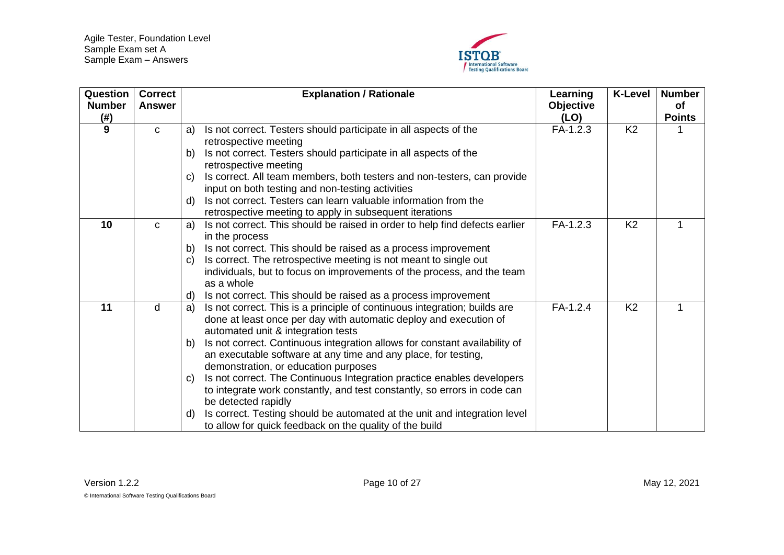

<span id="page-9-2"></span><span id="page-9-1"></span><span id="page-9-0"></span>

| Question<br><b>Number</b><br>$(\#)$ | <b>Correct</b><br><b>Answer</b> | <b>Explanation / Rationale</b>                                                                                                    | Learning<br><b>Objective</b><br>(LO) | <b>K-Level</b> | <b>Number</b><br>of<br><b>Points</b> |
|-------------------------------------|---------------------------------|-----------------------------------------------------------------------------------------------------------------------------------|--------------------------------------|----------------|--------------------------------------|
| 9                                   | $\mathbf C$                     | Is not correct. Testers should participate in all aspects of the<br>a)                                                            | $FA-1.2.3$                           | K <sub>2</sub> |                                      |
|                                     |                                 | retrospective meeting                                                                                                             |                                      |                |                                      |
|                                     |                                 | Is not correct. Testers should participate in all aspects of the<br>b)                                                            |                                      |                |                                      |
|                                     |                                 | retrospective meeting                                                                                                             |                                      |                |                                      |
|                                     |                                 | Is correct. All team members, both testers and non-testers, can provide<br>C)<br>input on both testing and non-testing activities |                                      |                |                                      |
|                                     |                                 | Is not correct. Testers can learn valuable information from the<br>d)                                                             |                                      |                |                                      |
|                                     |                                 | retrospective meeting to apply in subsequent iterations                                                                           |                                      |                |                                      |
| 10                                  | C                               | Is not correct. This should be raised in order to help find defects earlier<br>a)                                                 | $FA-1.2.3$                           | K <sub>2</sub> | 1                                    |
|                                     |                                 | in the process                                                                                                                    |                                      |                |                                      |
|                                     |                                 | Is not correct. This should be raised as a process improvement<br>b)                                                              |                                      |                |                                      |
|                                     |                                 | Is correct. The retrospective meeting is not meant to single out<br>C)                                                            |                                      |                |                                      |
|                                     |                                 | individuals, but to focus on improvements of the process, and the team                                                            |                                      |                |                                      |
|                                     |                                 | as a whole                                                                                                                        |                                      |                |                                      |
|                                     |                                 | Is not correct. This should be raised as a process improvement<br>d)                                                              |                                      |                |                                      |
| 11                                  | d                               | Is not correct. This is a principle of continuous integration; builds are<br>a)                                                   | FA-1.2.4                             | K <sub>2</sub> | 1                                    |
|                                     |                                 | done at least once per day with automatic deploy and execution of                                                                 |                                      |                |                                      |
|                                     |                                 | automated unit & integration tests                                                                                                |                                      |                |                                      |
|                                     |                                 | Is not correct. Continuous integration allows for constant availability of<br>b)                                                  |                                      |                |                                      |
|                                     |                                 | an executable software at any time and any place, for testing,                                                                    |                                      |                |                                      |
|                                     |                                 | demonstration, or education purposes<br>Is not correct. The Continuous Integration practice enables developers                    |                                      |                |                                      |
|                                     |                                 | $\mathbf{C}$<br>to integrate work constantly, and test constantly, so errors in code can                                          |                                      |                |                                      |
|                                     |                                 | be detected rapidly                                                                                                               |                                      |                |                                      |
|                                     |                                 | Is correct. Testing should be automated at the unit and integration level<br>d)                                                   |                                      |                |                                      |
|                                     |                                 | to allow for quick feedback on the quality of the build                                                                           |                                      |                |                                      |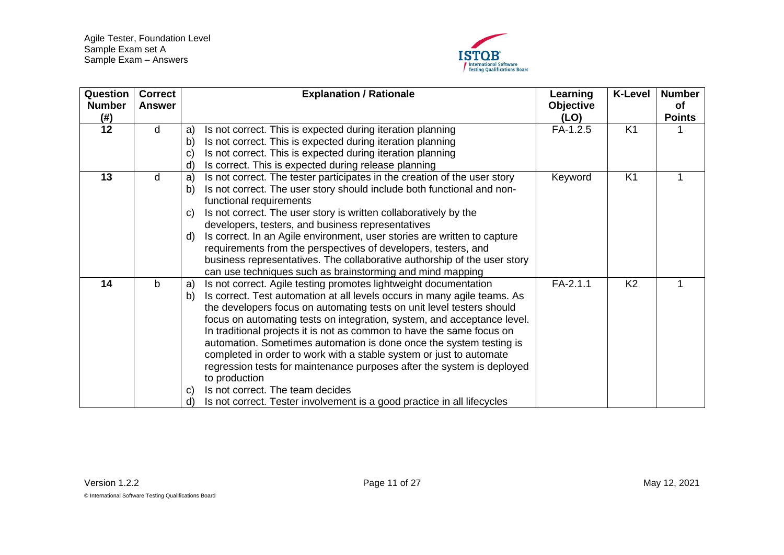

<span id="page-10-2"></span><span id="page-10-1"></span><span id="page-10-0"></span>

| <b>Question</b><br><b>Number</b><br>(#) | <b>Correct</b><br><b>Answer</b> | <b>Explanation / Rationale</b>                                                                                                                                                                                                                                                                                                                                                                                                                                                                                                                                                                                                                                                                                                                                                | Learning<br><b>Objective</b><br>(LO) | <b>K-Level</b> | <b>Number</b><br>of<br><b>Points</b> |
|-----------------------------------------|---------------------------------|-------------------------------------------------------------------------------------------------------------------------------------------------------------------------------------------------------------------------------------------------------------------------------------------------------------------------------------------------------------------------------------------------------------------------------------------------------------------------------------------------------------------------------------------------------------------------------------------------------------------------------------------------------------------------------------------------------------------------------------------------------------------------------|--------------------------------------|----------------|--------------------------------------|
| 12                                      | d                               | Is not correct. This is expected during iteration planning<br>a)<br>b)<br>Is not correct. This is expected during iteration planning<br>Is not correct. This is expected during iteration planning<br>C)<br>Is correct. This is expected during release planning<br>$\mathsf{d}$                                                                                                                                                                                                                                                                                                                                                                                                                                                                                              | FA-1.2.5                             | K <sub>1</sub> |                                      |
| 13                                      | d                               | Is not correct. The tester participates in the creation of the user story<br>a)<br>Is not correct. The user story should include both functional and non-<br>b)<br>functional requirements<br>Is not correct. The user story is written collaboratively by the<br>C)<br>developers, testers, and business representatives<br>Is correct. In an Agile environment, user stories are written to capture<br>$\mathsf{d}$<br>requirements from the perspectives of developers, testers, and<br>business representatives. The collaborative authorship of the user story<br>can use techniques such as brainstorming and mind mapping                                                                                                                                              | Keyword                              | K <sub>1</sub> |                                      |
| 14                                      | b                               | Is not correct. Agile testing promotes lightweight documentation<br>a)<br>Is correct. Test automation at all levels occurs in many agile teams. As<br>b)<br>the developers focus on automating tests on unit level testers should<br>focus on automating tests on integration, system, and acceptance level.<br>In traditional projects it is not as common to have the same focus on<br>automation. Sometimes automation is done once the system testing is<br>completed in order to work with a stable system or just to automate<br>regression tests for maintenance purposes after the system is deployed<br>to production<br>Is not correct. The team decides<br>$\mathbf{C}$<br>Is not correct. Tester involvement is a good practice in all lifecycles<br>$\mathsf{d}$ | $FA-2.1.1$                           | K <sub>2</sub> |                                      |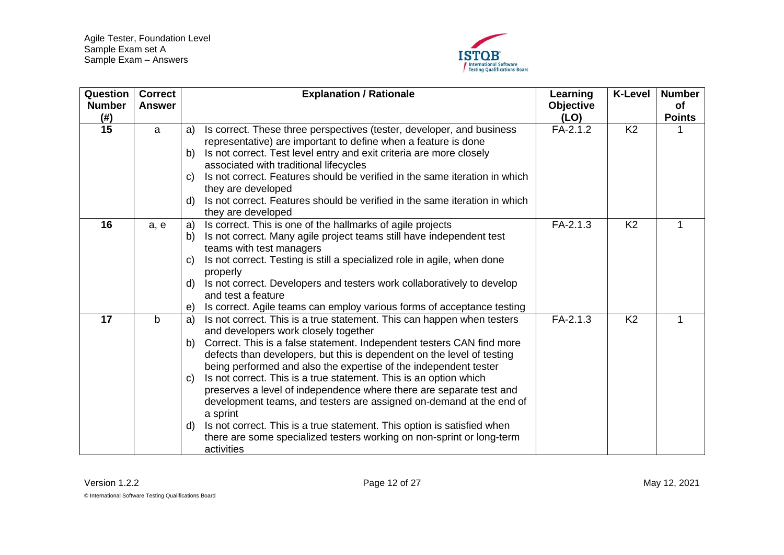

<span id="page-11-2"></span><span id="page-11-1"></span><span id="page-11-0"></span>

| Question<br><b>Number</b><br>$($ # $)$ | <b>Correct</b><br>Answer |    | <b>Explanation / Rationale</b>                                                                   | Learning<br><b>Objective</b><br>(LO) | <b>K-Level</b> | <b>Number</b><br>of<br><b>Points</b> |
|----------------------------------------|--------------------------|----|--------------------------------------------------------------------------------------------------|--------------------------------------|----------------|--------------------------------------|
| 15                                     | a                        | a) | Is correct. These three perspectives (tester, developer, and business                            | $FA-2.1.2$                           | K <sub>2</sub> |                                      |
|                                        |                          |    | representative) are important to define when a feature is done                                   |                                      |                |                                      |
|                                        |                          | b) | Is not correct. Test level entry and exit criteria are more closely                              |                                      |                |                                      |
|                                        |                          |    | associated with traditional lifecycles                                                           |                                      |                |                                      |
|                                        |                          | C) | Is not correct. Features should be verified in the same iteration in which                       |                                      |                |                                      |
|                                        |                          |    | they are developed                                                                               |                                      |                |                                      |
|                                        |                          | d) | Is not correct. Features should be verified in the same iteration in which<br>they are developed |                                      |                |                                      |
| 16                                     | a, e                     | a) | Is correct. This is one of the hallmarks of agile projects                                       | $FA-2.1.3$                           | K <sub>2</sub> |                                      |
|                                        |                          | b) | Is not correct. Many agile project teams still have independent test                             |                                      |                |                                      |
|                                        |                          |    | teams with test managers                                                                         |                                      |                |                                      |
|                                        |                          | C) | Is not correct. Testing is still a specialized role in agile, when done                          |                                      |                |                                      |
|                                        |                          |    | properly                                                                                         |                                      |                |                                      |
|                                        |                          | d) | Is not correct. Developers and testers work collaboratively to develop                           |                                      |                |                                      |
|                                        |                          |    | and test a feature                                                                               |                                      |                |                                      |
|                                        |                          | e) | Is correct. Agile teams can employ various forms of acceptance testing                           |                                      |                |                                      |
| 17                                     | $\mathsf{b}$             | a) | Is not correct. This is a true statement. This can happen when testers                           | $FA-2.1.3$                           | K <sub>2</sub> | 1                                    |
|                                        |                          |    | and developers work closely together                                                             |                                      |                |                                      |
|                                        |                          | b) | Correct. This is a false statement. Independent testers CAN find more                            |                                      |                |                                      |
|                                        |                          |    | defects than developers, but this is dependent on the level of testing                           |                                      |                |                                      |
|                                        |                          |    | being performed and also the expertise of the independent tester                                 |                                      |                |                                      |
|                                        |                          | C) | Is not correct. This is a true statement. This is an option which                                |                                      |                |                                      |
|                                        |                          |    | preserves a level of independence where there are separate test and                              |                                      |                |                                      |
|                                        |                          |    | development teams, and testers are assigned on-demand at the end of<br>a sprint                  |                                      |                |                                      |
|                                        |                          | d) | Is not correct. This is a true statement. This option is satisfied when                          |                                      |                |                                      |
|                                        |                          |    | there are some specialized testers working on non-sprint or long-term                            |                                      |                |                                      |
|                                        |                          |    | activities                                                                                       |                                      |                |                                      |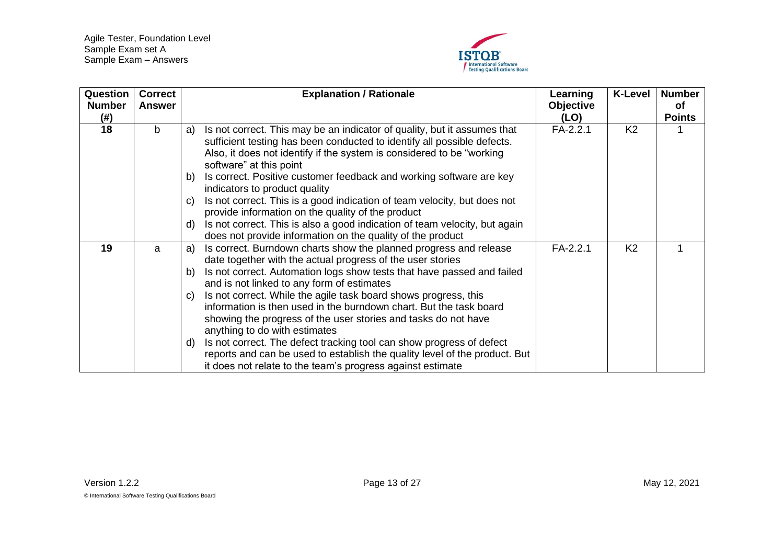

<span id="page-12-1"></span><span id="page-12-0"></span>

| Question<br><b>Number</b><br>(# ) | <b>Correct</b><br>Answer |                      | <b>Explanation / Rationale</b>                                                                                                                                                                                                                                                                                                                                                                                                                                                                                                                                                                                                                                                                                          | Learning<br><b>Objective</b><br>(LO) | <b>K-Level</b> | <b>Number</b><br>οf<br><b>Points</b> |
|-----------------------------------|--------------------------|----------------------|-------------------------------------------------------------------------------------------------------------------------------------------------------------------------------------------------------------------------------------------------------------------------------------------------------------------------------------------------------------------------------------------------------------------------------------------------------------------------------------------------------------------------------------------------------------------------------------------------------------------------------------------------------------------------------------------------------------------------|--------------------------------------|----------------|--------------------------------------|
| 18                                | b                        | a)<br>b)<br>C)<br>d) | Is not correct. This may be an indicator of quality, but it assumes that<br>sufficient testing has been conducted to identify all possible defects.<br>Also, it does not identify if the system is considered to be "working"<br>software" at this point<br>Is correct. Positive customer feedback and working software are key<br>indicators to product quality<br>Is not correct. This is a good indication of team velocity, but does not<br>provide information on the quality of the product<br>Is not correct. This is also a good indication of team velocity, but again                                                                                                                                         | $FA-2.2.1$                           | K <sub>2</sub> |                                      |
|                                   |                          |                      | does not provide information on the quality of the product                                                                                                                                                                                                                                                                                                                                                                                                                                                                                                                                                                                                                                                              |                                      |                |                                      |
| 19                                | a                        | a)<br>b)<br>C)<br>d) | Is correct. Burndown charts show the planned progress and release<br>date together with the actual progress of the user stories<br>Is not correct. Automation logs show tests that have passed and failed<br>and is not linked to any form of estimates<br>Is not correct. While the agile task board shows progress, this<br>information is then used in the burndown chart. But the task board<br>showing the progress of the user stories and tasks do not have<br>anything to do with estimates<br>Is not correct. The defect tracking tool can show progress of defect<br>reports and can be used to establish the quality level of the product. But<br>it does not relate to the team's progress against estimate | $FA-2.2.1$                           | K <sub>2</sub> |                                      |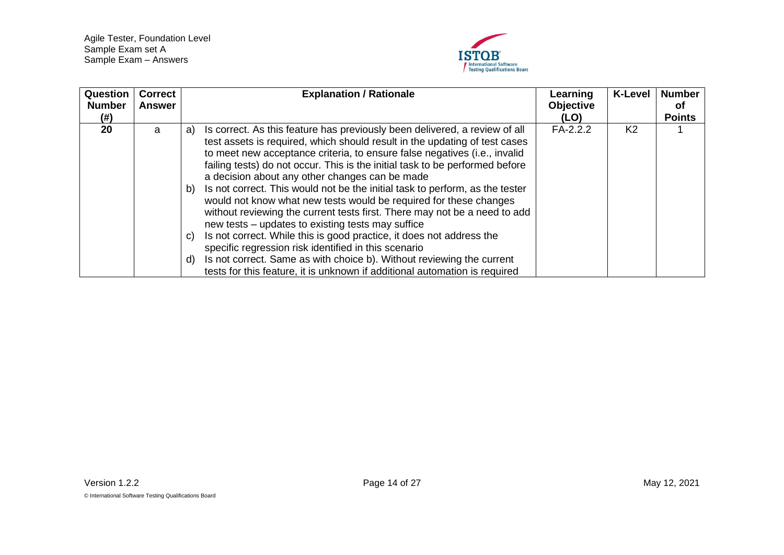

<span id="page-13-0"></span>

| Question<br><b>Number</b><br>(# ) | <b>Correct</b><br><b>Answer</b> | <b>Explanation / Rationale</b>                                                                                                                                                                                                                                                                                                                                                                                                                                                                                                                                                                                                                                                                                                                                                                                                                                                                                                                                                | Learning<br><b>Objective</b><br>(LO) | <b>K-Level</b> | <b>Number</b><br>0f<br><b>Points</b> |
|-----------------------------------|---------------------------------|-------------------------------------------------------------------------------------------------------------------------------------------------------------------------------------------------------------------------------------------------------------------------------------------------------------------------------------------------------------------------------------------------------------------------------------------------------------------------------------------------------------------------------------------------------------------------------------------------------------------------------------------------------------------------------------------------------------------------------------------------------------------------------------------------------------------------------------------------------------------------------------------------------------------------------------------------------------------------------|--------------------------------------|----------------|--------------------------------------|
| 20                                | a                               | Is correct. As this feature has previously been delivered, a review of all<br>a)<br>test assets is required, which should result in the updating of test cases<br>to meet new acceptance criteria, to ensure false negatives (i.e., invalid<br>failing tests) do not occur. This is the initial task to be performed before<br>a decision about any other changes can be made<br>Is not correct. This would not be the initial task to perform, as the tester<br>b)<br>would not know what new tests would be required for these changes<br>without reviewing the current tests first. There may not be a need to add<br>new tests – updates to existing tests may suffice<br>Is not correct. While this is good practice, it does not address the<br>C)<br>specific regression risk identified in this scenario<br>Is not correct. Same as with choice b). Without reviewing the current<br>d)<br>tests for this feature, it is unknown if additional automation is required | $FA-2.2.2$                           | K <sub>2</sub> |                                      |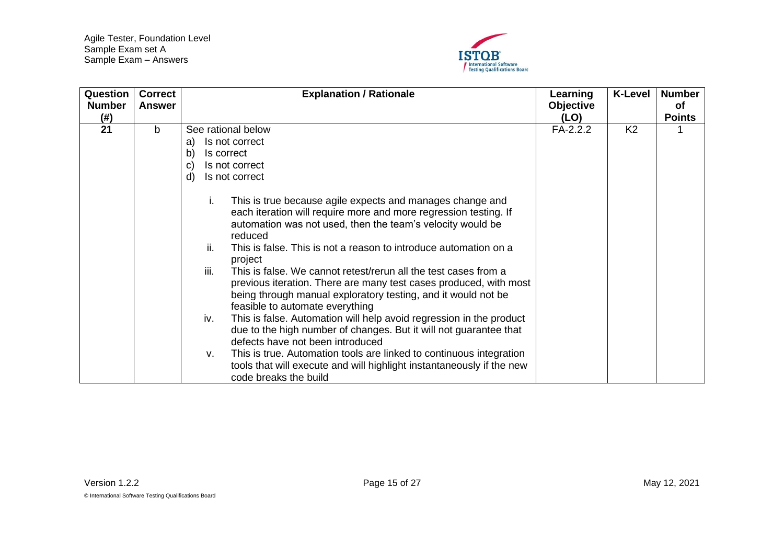

<span id="page-14-0"></span>

| Question<br><b>Number</b> | <b>Correct</b> | <b>Explanation / Rationale</b>                                                                                                                                                                                                                                                                                                                                                                                                                                                                                                                                                                                                                                                                                                                                                                                                                                                                                                                                                                                                                                     | Learning                 | <b>K-Level</b> | <b>Number</b><br><b>of</b> |
|---------------------------|----------------|--------------------------------------------------------------------------------------------------------------------------------------------------------------------------------------------------------------------------------------------------------------------------------------------------------------------------------------------------------------------------------------------------------------------------------------------------------------------------------------------------------------------------------------------------------------------------------------------------------------------------------------------------------------------------------------------------------------------------------------------------------------------------------------------------------------------------------------------------------------------------------------------------------------------------------------------------------------------------------------------------------------------------------------------------------------------|--------------------------|----------------|----------------------------|
| (# )                      | Answer         |                                                                                                                                                                                                                                                                                                                                                                                                                                                                                                                                                                                                                                                                                                                                                                                                                                                                                                                                                                                                                                                                    | <b>Objective</b><br>(LO) |                | <b>Points</b>              |
| 21                        | b              | See rational below<br>Is not correct<br>a)<br>b)<br>Is correct<br>Is not correct<br>$\mathbf{C}$<br>$\mathsf{d}$<br>Is not correct<br>This is true because agile expects and manages change and<br>İ.<br>each iteration will require more and more regression testing. If<br>automation was not used, then the team's velocity would be<br>reduced<br>ii.<br>This is false. This is not a reason to introduce automation on a<br>project<br>iii.<br>This is false. We cannot retest/rerun all the test cases from a<br>previous iteration. There are many test cases produced, with most<br>being through manual exploratory testing, and it would not be<br>feasible to automate everything<br>This is false. Automation will help avoid regression in the product<br>iv.<br>due to the high number of changes. But it will not guarantee that<br>defects have not been introduced<br>This is true. Automation tools are linked to continuous integration<br>v.<br>tools that will execute and will highlight instantaneously if the new<br>code breaks the build | FA-2.2.2                 | K <sub>2</sub> |                            |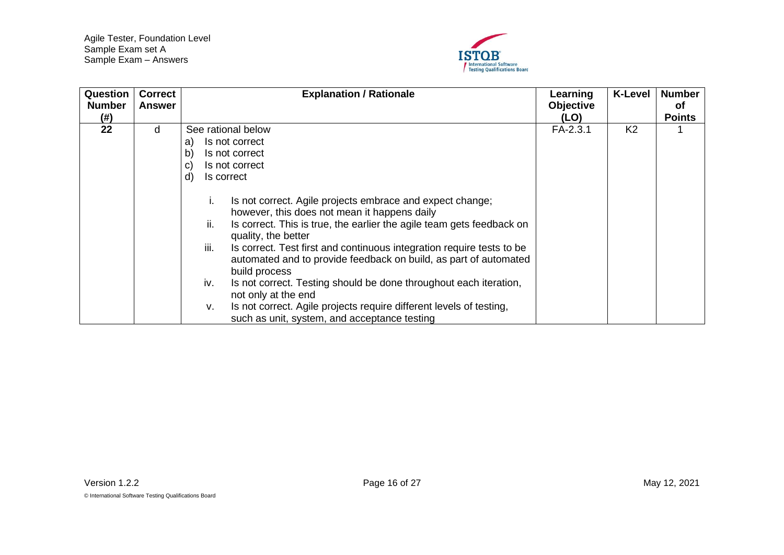

<span id="page-15-0"></span>

| Question<br><b>Number</b><br>(# ) | <b>Correct</b><br>Answer | <b>Explanation / Rationale</b>                                                                                                                                                                                                                                                                                                                                                                                                                                                                                                                                                                                                                                                                                                                 | Learning<br><b>Objective</b><br>(LO) | <b>K-Level</b> | <b>Number</b><br>оf<br><b>Points</b> |
|-----------------------------------|--------------------------|------------------------------------------------------------------------------------------------------------------------------------------------------------------------------------------------------------------------------------------------------------------------------------------------------------------------------------------------------------------------------------------------------------------------------------------------------------------------------------------------------------------------------------------------------------------------------------------------------------------------------------------------------------------------------------------------------------------------------------------------|--------------------------------------|----------------|--------------------------------------|
| 22                                | d                        | See rational below<br>Is not correct<br>a)<br>b)<br>Is not correct<br>Is not correct<br>C)<br>d)<br>Is correct<br>Is not correct. Agile projects embrace and expect change;<br>Ι.<br>however, this does not mean it happens daily<br>ii.<br>Is correct. This is true, the earlier the agile team gets feedback on<br>quality, the better<br>iii.<br>Is correct. Test first and continuous integration require tests to be<br>automated and to provide feedback on build, as part of automated<br>build process<br>Is not correct. Testing should be done throughout each iteration,<br>iv.<br>not only at the end<br>Is not correct. Agile projects require different levels of testing,<br>v.<br>such as unit, system, and acceptance testing | FA-2.3.1                             | K <sub>2</sub> |                                      |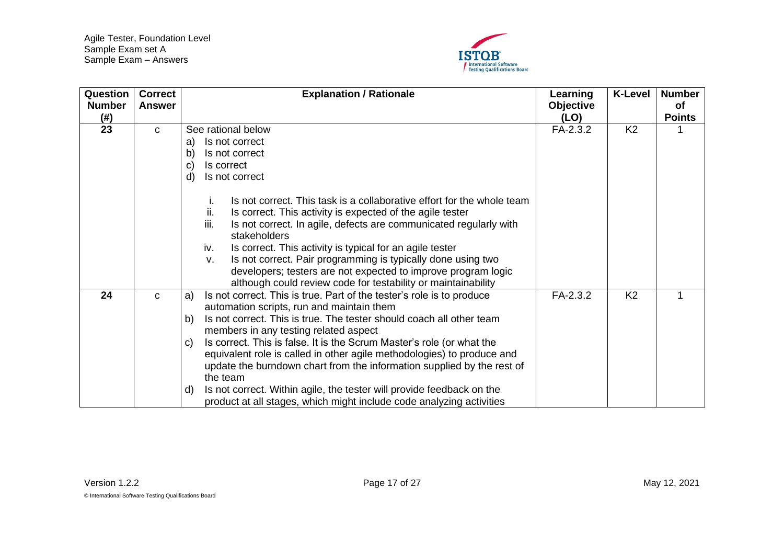

<span id="page-16-1"></span><span id="page-16-0"></span>

| Question<br><b>Number</b><br>(# ) | <b>Correct</b><br>Answer | <b>Explanation / Rationale</b>                                                                                                                                                                                                              | Learning<br><b>Objective</b><br>(LO) | <b>K-Level</b> | <b>Number</b><br><b>of</b><br><b>Points</b> |
|-----------------------------------|--------------------------|---------------------------------------------------------------------------------------------------------------------------------------------------------------------------------------------------------------------------------------------|--------------------------------------|----------------|---------------------------------------------|
| 23                                | C                        | See rational below                                                                                                                                                                                                                          | FA-2.3.2                             | K <sub>2</sub> |                                             |
|                                   |                          | Is not correct<br>a)                                                                                                                                                                                                                        |                                      |                |                                             |
|                                   |                          | Is not correct<br>b)                                                                                                                                                                                                                        |                                      |                |                                             |
|                                   |                          | Is correct<br>C)                                                                                                                                                                                                                            |                                      |                |                                             |
|                                   |                          | Is not correct<br>d)                                                                                                                                                                                                                        |                                      |                |                                             |
|                                   |                          | Is not correct. This task is a collaborative effort for the whole team<br>Ъ.<br>ii.<br>Is correct. This activity is expected of the agile tester                                                                                            |                                      |                |                                             |
|                                   |                          | iii.<br>Is not correct. In agile, defects are communicated regularly with<br>stakeholders                                                                                                                                                   |                                      |                |                                             |
|                                   |                          | Is correct. This activity is typical for an agile tester<br>iv.                                                                                                                                                                             |                                      |                |                                             |
|                                   |                          | Is not correct. Pair programming is typically done using two<br>v.                                                                                                                                                                          |                                      |                |                                             |
|                                   |                          | developers; testers are not expected to improve program logic<br>although could review code for testability or maintainability                                                                                                              |                                      |                |                                             |
| 24                                | C                        | Is not correct. This is true. Part of the tester's role is to produce<br>a)<br>automation scripts, run and maintain them<br>Is not correct. This is true. The tester should coach all other team<br>b)                                      | FA-2.3.2                             | K <sub>2</sub> | 1                                           |
|                                   |                          | members in any testing related aspect                                                                                                                                                                                                       |                                      |                |                                             |
|                                   |                          | Is correct. This is false. It is the Scrum Master's role (or what the<br>C)<br>equivalent role is called in other agile methodologies) to produce and<br>update the burndown chart from the information supplied by the rest of<br>the team |                                      |                |                                             |
|                                   |                          | Is not correct. Within agile, the tester will provide feedback on the<br>d)<br>product at all stages, which might include code analyzing activities                                                                                         |                                      |                |                                             |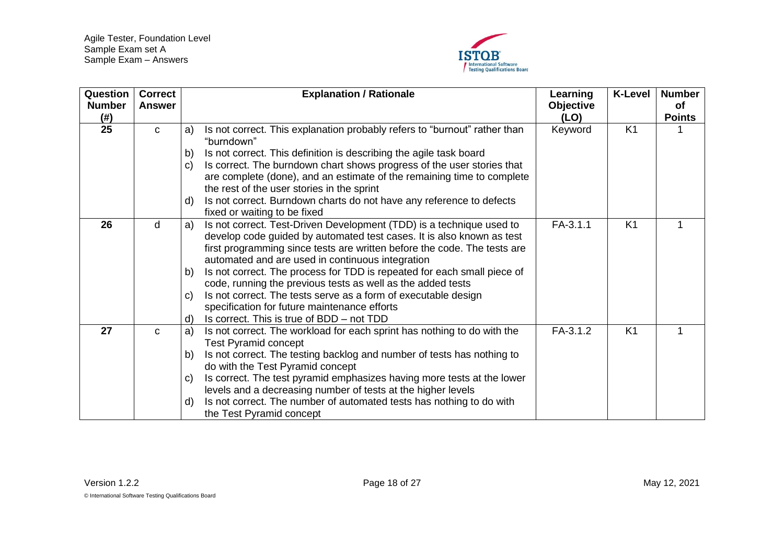

<span id="page-17-2"></span><span id="page-17-1"></span><span id="page-17-0"></span>

| Question<br><b>Number</b><br>(# ) | <b>Correct</b><br><b>Answer</b> |              | <b>Explanation / Rationale</b>                                                          | Learning<br><b>Objective</b><br>(LO) | <b>K-Level</b> | <b>Number</b><br><b>of</b><br><b>Points</b> |
|-----------------------------------|---------------------------------|--------------|-----------------------------------------------------------------------------------------|--------------------------------------|----------------|---------------------------------------------|
| 25                                | $\mathbf{C}$                    | a)           | Is not correct. This explanation probably refers to "burnout" rather than<br>"burndown" | Keyword                              | K <sub>1</sub> |                                             |
|                                   |                                 | $\mathsf{b}$ | Is not correct. This definition is describing the agile task board                      |                                      |                |                                             |
|                                   |                                 | $\mathbf{C}$ | Is correct. The burndown chart shows progress of the user stories that                  |                                      |                |                                             |
|                                   |                                 |              | are complete (done), and an estimate of the remaining time to complete                  |                                      |                |                                             |
|                                   |                                 |              | the rest of the user stories in the sprint                                              |                                      |                |                                             |
|                                   |                                 | d)           | Is not correct. Burndown charts do not have any reference to defects                    |                                      |                |                                             |
|                                   |                                 |              | fixed or waiting to be fixed                                                            |                                      |                |                                             |
| 26                                | d                               | a)           | Is not correct. Test-Driven Development (TDD) is a technique used to                    | FA-3.1.1                             | K <sub>1</sub> |                                             |
|                                   |                                 |              | develop code guided by automated test cases. It is also known as test                   |                                      |                |                                             |
|                                   |                                 |              | first programming since tests are written before the code. The tests are                |                                      |                |                                             |
|                                   |                                 |              | automated and are used in continuous integration                                        |                                      |                |                                             |
|                                   |                                 | b)           | Is not correct. The process for TDD is repeated for each small piece of                 |                                      |                |                                             |
|                                   |                                 |              | code, running the previous tests as well as the added tests                             |                                      |                |                                             |
|                                   |                                 | $\mathbf{C}$ | Is not correct. The tests serve as a form of executable design                          |                                      |                |                                             |
|                                   |                                 |              | specification for future maintenance efforts                                            |                                      |                |                                             |
|                                   |                                 | d)           | Is correct. This is true of BDD – not TDD                                               |                                      |                |                                             |
| 27                                | C                               | a)           | Is not correct. The workload for each sprint has nothing to do with the                 | FA-3.1.2                             | K <sub>1</sub> |                                             |
|                                   |                                 |              | <b>Test Pyramid concept</b>                                                             |                                      |                |                                             |
|                                   |                                 | b)           | Is not correct. The testing backlog and number of tests has nothing to                  |                                      |                |                                             |
|                                   |                                 |              | do with the Test Pyramid concept                                                        |                                      |                |                                             |
|                                   |                                 | $\mathbf{C}$ | Is correct. The test pyramid emphasizes having more tests at the lower                  |                                      |                |                                             |
|                                   |                                 |              | levels and a decreasing number of tests at the higher levels                            |                                      |                |                                             |
|                                   |                                 | d)           | Is not correct. The number of automated tests has nothing to do with                    |                                      |                |                                             |
|                                   |                                 |              | the Test Pyramid concept                                                                |                                      |                |                                             |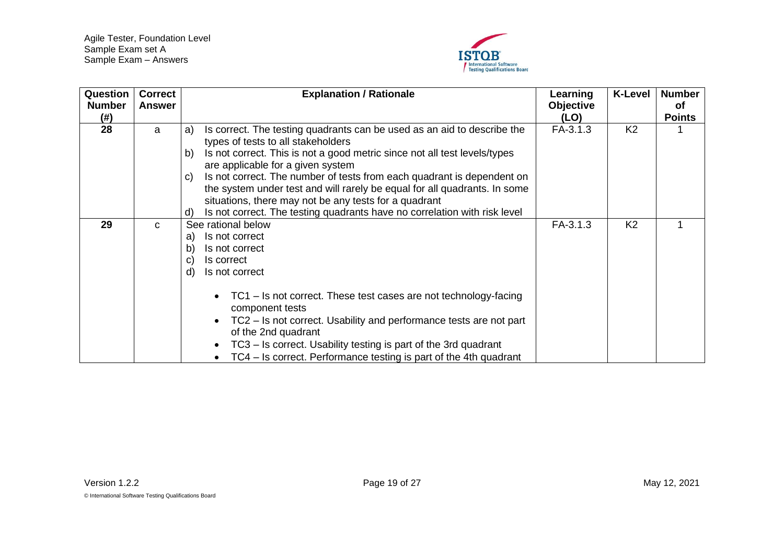

<span id="page-18-1"></span><span id="page-18-0"></span>

| Question<br><b>Number</b><br>(#) | <b>Correct</b><br><b>Answer</b> | <b>Explanation / Rationale</b>                                                                                                                                                                                                                                                                                                                                                                                                                                                                                                                       | Learning<br><b>Objective</b><br>(LO) | <b>K-Level</b> | <b>Number</b><br>оf<br><b>Points</b> |
|----------------------------------|---------------------------------|------------------------------------------------------------------------------------------------------------------------------------------------------------------------------------------------------------------------------------------------------------------------------------------------------------------------------------------------------------------------------------------------------------------------------------------------------------------------------------------------------------------------------------------------------|--------------------------------------|----------------|--------------------------------------|
| 28                               | a                               | Is correct. The testing quadrants can be used as an aid to describe the<br>a)<br>types of tests to all stakeholders<br>Is not correct. This is not a good metric since not all test levels/types<br>b)<br>are applicable for a given system<br>Is not correct. The number of tests from each quadrant is dependent on<br>C)<br>the system under test and will rarely be equal for all quadrants. In some<br>situations, there may not be any tests for a quadrant<br>Is not correct. The testing quadrants have no correlation with risk level<br>d) | FA-3.1.3                             | K <sub>2</sub> |                                      |
| 29                               | $\mathbf{C}$                    | See rational below<br>Is not correct<br>a)<br>Is not correct<br>b)<br>Is correct<br>C)<br>Is not correct<br>d)<br>TC1 – Is not correct. These test cases are not technology-facing<br>$\bullet$<br>component tests<br>TC2 – Is not correct. Usability and performance tests are not part<br>$\bullet$<br>of the 2nd quadrant<br>TC3 – Is correct. Usability testing is part of the 3rd quadrant<br>$\bullet$<br>TC4 – Is correct. Performance testing is part of the 4th quadrant<br>$\bullet$                                                       | FA-3.1.3                             | K <sub>2</sub> |                                      |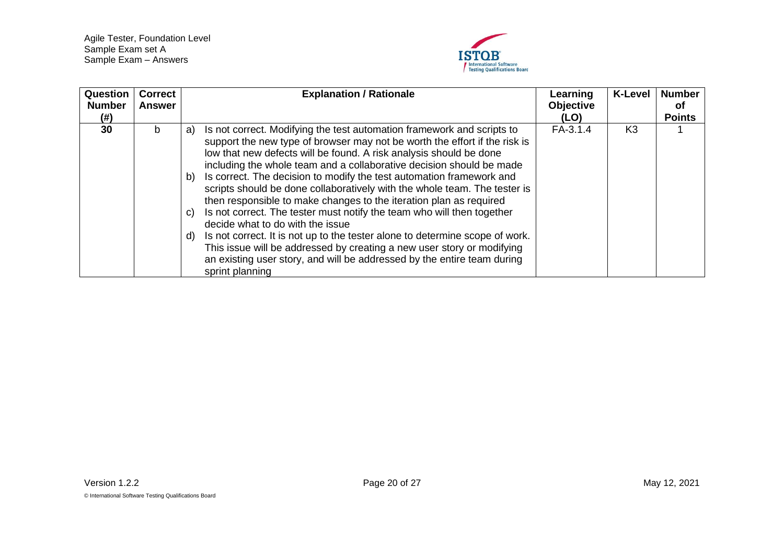

<span id="page-19-0"></span>

| Question<br><b>Number</b><br>(# ) | <b>Correct</b><br><b>Answer</b> | <b>Explanation / Rationale</b>                                                                                                                                                                                                                                                                                                                                                                                                                                                                                                                                                                                                                                                                                                                                                                                                                                                                                              | Learning<br><b>Objective</b><br>(LO) | <b>K-Level</b> | <b>Number</b><br>0f<br><b>Points</b> |
|-----------------------------------|---------------------------------|-----------------------------------------------------------------------------------------------------------------------------------------------------------------------------------------------------------------------------------------------------------------------------------------------------------------------------------------------------------------------------------------------------------------------------------------------------------------------------------------------------------------------------------------------------------------------------------------------------------------------------------------------------------------------------------------------------------------------------------------------------------------------------------------------------------------------------------------------------------------------------------------------------------------------------|--------------------------------------|----------------|--------------------------------------|
| 30                                | b                               | Is not correct. Modifying the test automation framework and scripts to<br>a)<br>support the new type of browser may not be worth the effort if the risk is<br>low that new defects will be found. A risk analysis should be done<br>including the whole team and a collaborative decision should be made<br>Is correct. The decision to modify the test automation framework and<br>b)<br>scripts should be done collaboratively with the whole team. The tester is<br>then responsible to make changes to the iteration plan as required<br>Is not correct. The tester must notify the team who will then together<br>C)<br>decide what to do with the issue<br>Is not correct. It is not up to the tester alone to determine scope of work.<br>d)<br>This issue will be addressed by creating a new user story or modifying<br>an existing user story, and will be addressed by the entire team during<br>sprint planning | FA-3.1.4                             | K <sub>3</sub> |                                      |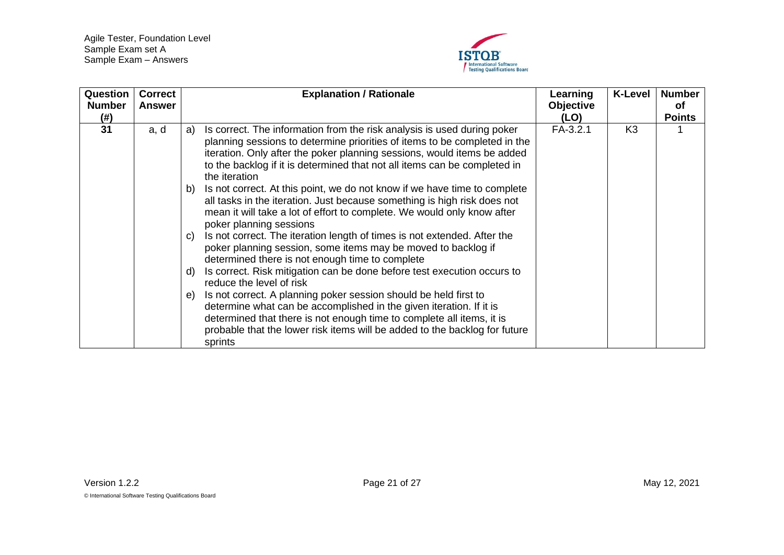

<span id="page-20-0"></span>

| <b>Question</b><br><b>Number</b> | <b>Correct</b><br><b>Answer</b> | <b>Explanation / Rationale</b>                                                                                                                                                                                                                                                                                                      | Learning<br><b>Objective</b> | <b>K-Level</b> | <b>Number</b><br><b>of</b> |
|----------------------------------|---------------------------------|-------------------------------------------------------------------------------------------------------------------------------------------------------------------------------------------------------------------------------------------------------------------------------------------------------------------------------------|------------------------------|----------------|----------------------------|
| (# )                             |                                 |                                                                                                                                                                                                                                                                                                                                     | (LO)                         |                | <b>Points</b>              |
| 31                               | a, d                            | Is correct. The information from the risk analysis is used during poker<br>a)<br>planning sessions to determine priorities of items to be completed in the<br>iteration. Only after the poker planning sessions, would items be added<br>to the backlog if it is determined that not all items can be completed in<br>the iteration | $FA-3.2.1$                   | K <sub>3</sub> |                            |
|                                  |                                 | Is not correct. At this point, we do not know if we have time to complete<br>b)<br>all tasks in the iteration. Just because something is high risk does not<br>mean it will take a lot of effort to complete. We would only know after<br>poker planning sessions                                                                   |                              |                |                            |
|                                  |                                 | Is not correct. The iteration length of times is not extended. After the<br>$\mathbf{C}$<br>poker planning session, some items may be moved to backlog if<br>determined there is not enough time to complete                                                                                                                        |                              |                |                            |
|                                  |                                 | Is correct. Risk mitigation can be done before test execution occurs to<br>d)<br>reduce the level of risk                                                                                                                                                                                                                           |                              |                |                            |
|                                  |                                 | Is not correct. A planning poker session should be held first to<br>$\Theta$ )<br>determine what can be accomplished in the given iteration. If it is<br>determined that there is not enough time to complete all items, it is<br>probable that the lower risk items will be added to the backlog for future<br>sprints             |                              |                |                            |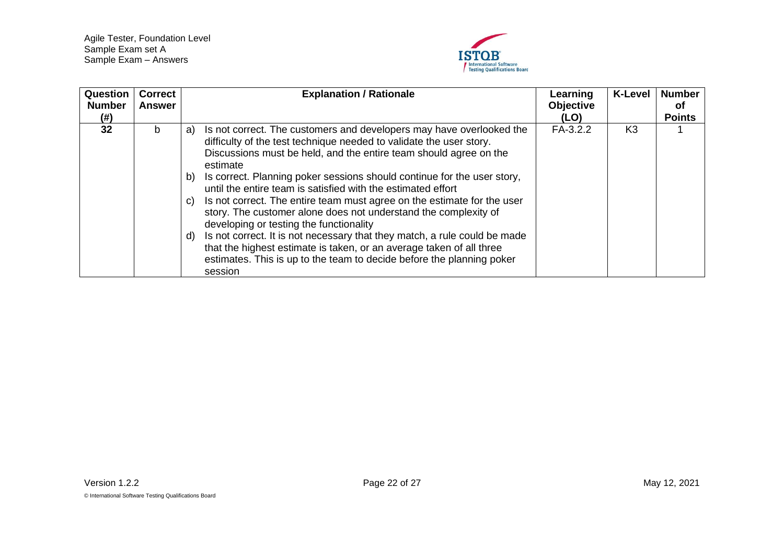

<span id="page-21-0"></span>

| Question<br><b>Number</b><br>(#) | <b>Correct</b><br>Answer | <b>Explanation / Rationale</b>                                                                                                                                                                                                                                                                                                                                                                                                                                                                                                                                                                                                                                                                                                                                                                                                    | Learning<br><b>Objective</b><br>(LO) | <b>K-Level</b> | <b>Number</b><br>of<br><b>Points</b> |
|----------------------------------|--------------------------|-----------------------------------------------------------------------------------------------------------------------------------------------------------------------------------------------------------------------------------------------------------------------------------------------------------------------------------------------------------------------------------------------------------------------------------------------------------------------------------------------------------------------------------------------------------------------------------------------------------------------------------------------------------------------------------------------------------------------------------------------------------------------------------------------------------------------------------|--------------------------------------|----------------|--------------------------------------|
| 32                               | b                        | Is not correct. The customers and developers may have overlooked the<br>a)<br>difficulty of the test technique needed to validate the user story.<br>Discussions must be held, and the entire team should agree on the<br>estimate<br>Is correct. Planning poker sessions should continue for the user story,<br>b)<br>until the entire team is satisfied with the estimated effort<br>Is not correct. The entire team must agree on the estimate for the user<br>C)<br>story. The customer alone does not understand the complexity of<br>developing or testing the functionality<br>Is not correct. It is not necessary that they match, a rule could be made<br>d)<br>that the highest estimate is taken, or an average taken of all three<br>estimates. This is up to the team to decide before the planning poker<br>session | FA-3.2.2                             | K <sub>3</sub> |                                      |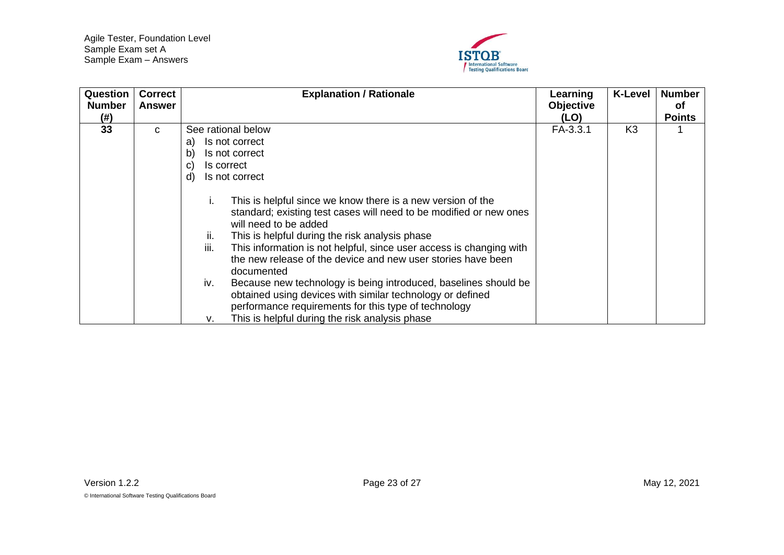

<span id="page-22-0"></span>

| Question<br><b>Number</b><br>(# ) | <b>Correct</b><br>Answer | <b>Explanation / Rationale</b>                                                                                                                                                                                                                                                                                                                                                                                                                                                                                                                                                                                                                                                                                                                                  | Learning<br><b>Objective</b><br>(LO) | <b>K-Level</b> | <b>Number</b><br>оf<br><b>Points</b> |
|-----------------------------------|--------------------------|-----------------------------------------------------------------------------------------------------------------------------------------------------------------------------------------------------------------------------------------------------------------------------------------------------------------------------------------------------------------------------------------------------------------------------------------------------------------------------------------------------------------------------------------------------------------------------------------------------------------------------------------------------------------------------------------------------------------------------------------------------------------|--------------------------------------|----------------|--------------------------------------|
| 33                                | C                        | See rational below<br>Is not correct<br>a)<br>Is not correct<br>b)<br>Is correct<br>C)<br>Is not correct<br>d)<br>This is helpful since we know there is a new version of the<br>Ι.<br>standard; existing test cases will need to be modified or new ones<br>will need to be added<br>This is helpful during the risk analysis phase<br>ii.<br>iii.<br>This information is not helpful, since user access is changing with<br>the new release of the device and new user stories have been<br>documented<br>Because new technology is being introduced, baselines should be<br>iv.<br>obtained using devices with similar technology or defined<br>performance requirements for this type of technology<br>This is helpful during the risk analysis phase<br>۷. | FA-3.3.1                             | K <sub>3</sub> |                                      |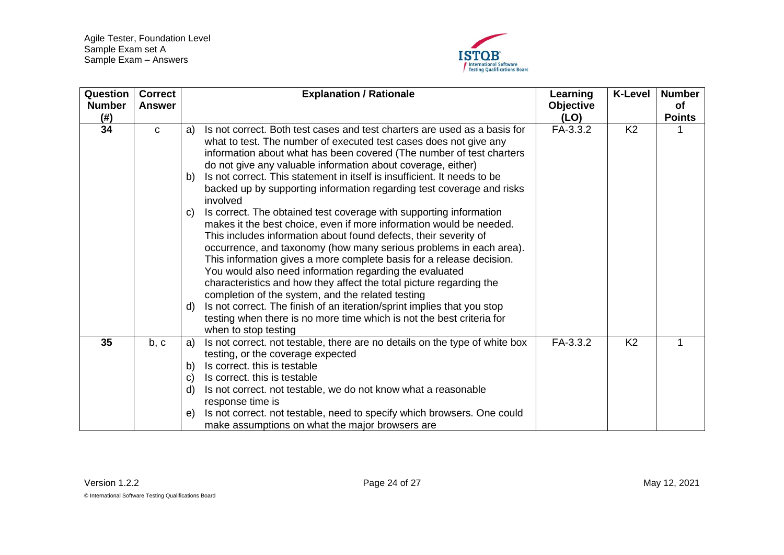

<span id="page-23-1"></span><span id="page-23-0"></span>

| Question<br><b>Number</b><br>(#) | <b>Correct</b><br><b>Answer</b> | <b>Explanation / Rationale</b>                                                                                                                                                                                                                                                                                                                                                                                                                                                                                                                                                                                                                                                                                                                                                                                                                                                                                                                                                                                                                                                                                                                                                                                                        | Learning<br><b>Objective</b><br>(LO) | <b>K-Level</b> | <b>Number</b><br>of<br><b>Points</b> |
|----------------------------------|---------------------------------|---------------------------------------------------------------------------------------------------------------------------------------------------------------------------------------------------------------------------------------------------------------------------------------------------------------------------------------------------------------------------------------------------------------------------------------------------------------------------------------------------------------------------------------------------------------------------------------------------------------------------------------------------------------------------------------------------------------------------------------------------------------------------------------------------------------------------------------------------------------------------------------------------------------------------------------------------------------------------------------------------------------------------------------------------------------------------------------------------------------------------------------------------------------------------------------------------------------------------------------|--------------------------------------|----------------|--------------------------------------|
| 34                               | $\mathbf{C}$                    | Is not correct. Both test cases and test charters are used as a basis for<br>a)<br>what to test. The number of executed test cases does not give any<br>information about what has been covered (The number of test charters<br>do not give any valuable information about coverage, either)<br>Is not correct. This statement in itself is insufficient. It needs to be<br>b)<br>backed up by supporting information regarding test coverage and risks<br>involved<br>Is correct. The obtained test coverage with supporting information<br>$\mathsf{C}$<br>makes it the best choice, even if more information would be needed.<br>This includes information about found defects, their severity of<br>occurrence, and taxonomy (how many serious problems in each area).<br>This information gives a more complete basis for a release decision.<br>You would also need information regarding the evaluated<br>characteristics and how they affect the total picture regarding the<br>completion of the system, and the related testing<br>Is not correct. The finish of an iteration/sprint implies that you stop<br>$\mathsf{d}$<br>testing when there is no more time which is not the best criteria for<br>when to stop testing | FA-3.3.2                             | K <sub>2</sub> |                                      |
| 35                               | b, c                            | Is not correct. not testable, there are no details on the type of white box<br>a)<br>testing, or the coverage expected<br>Is correct. this is testable<br>b)<br>Is correct. this is testable<br>$\mathsf{C}$<br>Is not correct. not testable, we do not know what a reasonable<br>$\mathsf{d}$<br>response time is<br>Is not correct. not testable, need to specify which browsers. One could<br>e)<br>make assumptions on what the major browsers are                                                                                                                                                                                                                                                                                                                                                                                                                                                                                                                                                                                                                                                                                                                                                                                | FA-3.3.2                             | K <sub>2</sub> | 1                                    |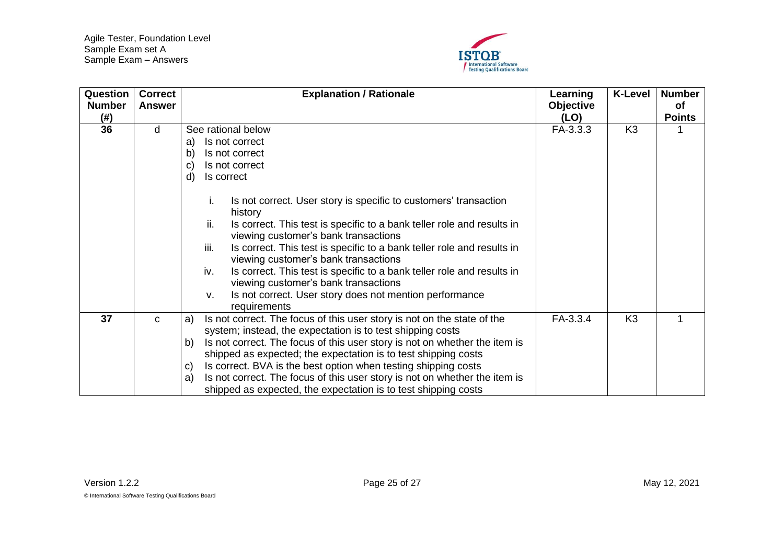

<span id="page-24-1"></span><span id="page-24-0"></span>

| Question              | <b>Correct</b> | <b>Explanation / Rationale</b>                                                                                                                                                                                                                                                                                                                                                                                                                                                                                                                                                                                                                                   | Learning                 | <b>K-Level</b> | <b>Number</b>              |
|-----------------------|----------------|------------------------------------------------------------------------------------------------------------------------------------------------------------------------------------------------------------------------------------------------------------------------------------------------------------------------------------------------------------------------------------------------------------------------------------------------------------------------------------------------------------------------------------------------------------------------------------------------------------------------------------------------------------------|--------------------------|----------------|----------------------------|
| <b>Number</b><br>(# ) | <b>Answer</b>  |                                                                                                                                                                                                                                                                                                                                                                                                                                                                                                                                                                                                                                                                  | <b>Objective</b><br>(LO) |                | <b>of</b><br><b>Points</b> |
| 36                    | d              | See rational below<br>Is not correct<br>a)<br>Is not correct<br>b)<br>Is not correct<br>C)<br>d)<br>Is correct<br>Is not correct. User story is specific to customers' transaction<br>Ι.<br>history<br>ii.<br>Is correct. This test is specific to a bank teller role and results in<br>viewing customer's bank transactions<br>iii.<br>Is correct. This test is specific to a bank teller role and results in<br>viewing customer's bank transactions<br>iv.<br>Is correct. This test is specific to a bank teller role and results in<br>viewing customer's bank transactions<br>Is not correct. User story does not mention performance<br>v.<br>requirements | FA-3.3.3                 | K <sub>3</sub> |                            |
| 37                    | C              | Is not correct. The focus of this user story is not on the state of the<br>a)<br>system; instead, the expectation is to test shipping costs<br>Is not correct. The focus of this user story is not on whether the item is<br>b)<br>shipped as expected; the expectation is to test shipping costs<br>Is correct. BVA is the best option when testing shipping costs<br>$\mathsf{C}$<br>Is not correct. The focus of this user story is not on whether the item is<br>a)<br>shipped as expected, the expectation is to test shipping costs                                                                                                                        | FA-3.3.4                 | K <sub>3</sub> |                            |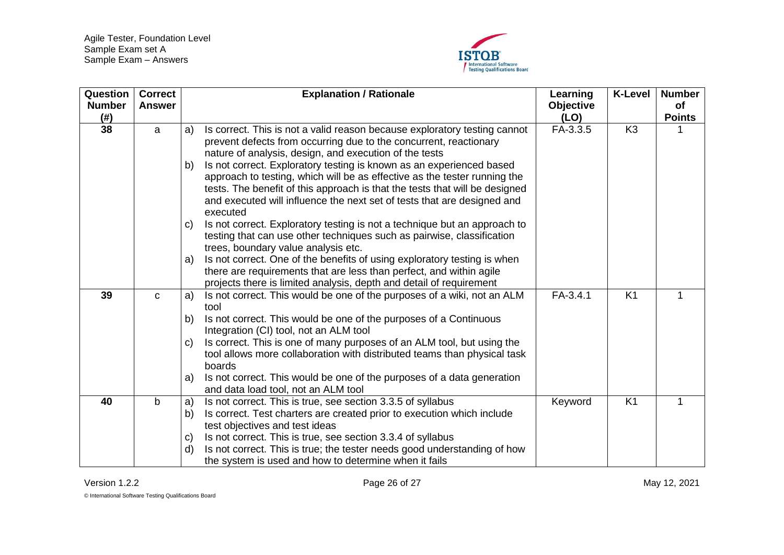

<span id="page-25-2"></span><span id="page-25-1"></span><span id="page-25-0"></span>

| Question<br><b>Number</b><br>(# ) | <b>Correct</b><br><b>Answer</b> | <b>Explanation / Rationale</b>                                                                                                                                                                                                                                                                                                | Learning<br><b>Objective</b><br>(LO) | <b>K-Level</b> | <b>Number</b><br>of<br><b>Points</b> |
|-----------------------------------|---------------------------------|-------------------------------------------------------------------------------------------------------------------------------------------------------------------------------------------------------------------------------------------------------------------------------------------------------------------------------|--------------------------------------|----------------|--------------------------------------|
| 38                                | a                               | Is correct. This is not a valid reason because exploratory testing cannot<br>a)<br>prevent defects from occurring due to the concurrent, reactionary<br>nature of analysis, design, and execution of the tests                                                                                                                | FA-3.3.5                             | K <sub>3</sub> |                                      |
|                                   |                                 | Is not correct. Exploratory testing is known as an experienced based<br>b)<br>approach to testing, which will be as effective as the tester running the<br>tests. The benefit of this approach is that the tests that will be designed<br>and executed will influence the next set of tests that are designed and<br>executed |                                      |                |                                      |
|                                   |                                 | Is not correct. Exploratory testing is not a technique but an approach to<br>$\mathbf{C}$<br>testing that can use other techniques such as pairwise, classification<br>trees, boundary value analysis etc.                                                                                                                    |                                      |                |                                      |
|                                   |                                 | Is not correct. One of the benefits of using exploratory testing is when<br>a)<br>there are requirements that are less than perfect, and within agile<br>projects there is limited analysis, depth and detail of requirement                                                                                                  |                                      |                |                                      |
| 39                                | $\mathbf{C}$                    | Is not correct. This would be one of the purposes of a wiki, not an ALM<br>a)<br>tool                                                                                                                                                                                                                                         | FA-3.4.1                             | K <sub>1</sub> |                                      |
|                                   |                                 | Is not correct. This would be one of the purposes of a Continuous<br>b)<br>Integration (CI) tool, not an ALM tool                                                                                                                                                                                                             |                                      |                |                                      |
|                                   |                                 | Is correct. This is one of many purposes of an ALM tool, but using the<br>C)<br>tool allows more collaboration with distributed teams than physical task<br>boards                                                                                                                                                            |                                      |                |                                      |
|                                   |                                 | Is not correct. This would be one of the purposes of a data generation<br>a)<br>and data load tool, not an ALM tool                                                                                                                                                                                                           |                                      |                |                                      |
| 40                                | $\mathbf b$                     | Is not correct. This is true, see section 3.3.5 of syllabus<br>a)<br>Is correct. Test charters are created prior to execution which include<br>b)<br>test objectives and test ideas                                                                                                                                           | Keyword                              | K <sub>1</sub> |                                      |
|                                   |                                 | Is not correct. This is true, see section 3.3.4 of syllabus<br>C)<br>Is not correct. This is true; the tester needs good understanding of how<br>$\mathsf{d}$<br>the system is used and how to determine when it fails                                                                                                        |                                      |                |                                      |